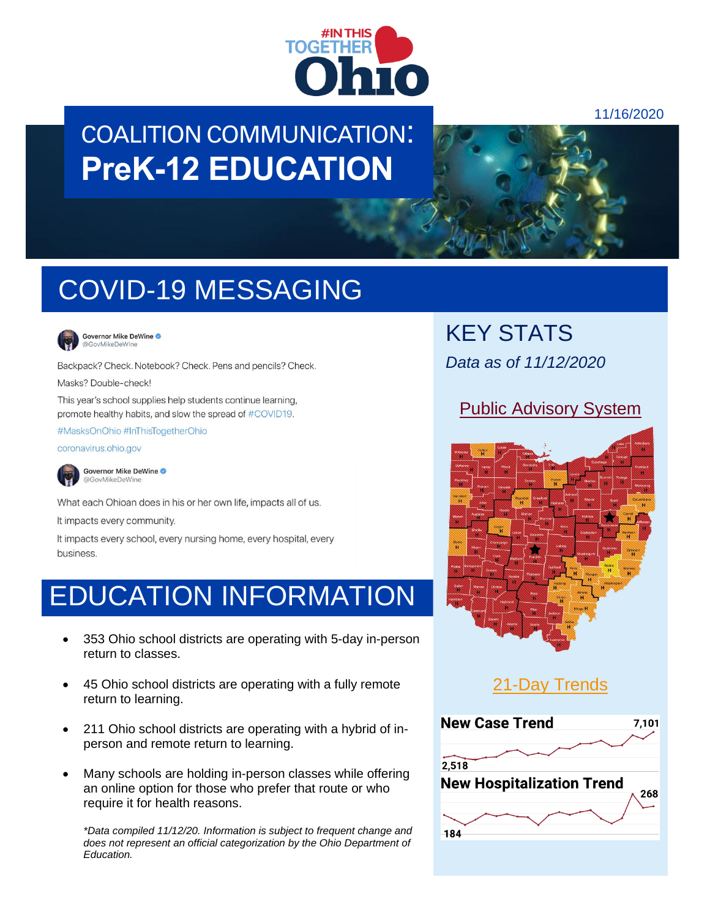

# COALITION COMMUNICATION: **PreK-12 EDUCATION**

### 11/16/2020



# COVID-19 MESSAGING



Governor Mike DeWine @GovMikeDeWine

Backpack? Check. Notebook? Check. Pens and pencils? Check.

Masks? Double-check!

This year's school supplies help students continue learning, promote healthy habits, and slow the spread of #COVID19.

#MasksOnOhio #InThisTogetherOhio

coronavirus.ohio.gov



Governor Mike DeWine @GovMikeDeWine

What each Ohioan does in his or her own life, impacts all of us.

It impacts every community.

It impacts every school, every nursing home, every hospital, every business.

## EDUCATION INFORMATION

- 353 Ohio school districts are operating with 5-day in-person return to classes.
- 45 Ohio school districts are operating with a fully remote return to learning.
- 211 Ohio school districts are operating with a hybrid of inperson and remote return to learning.
- Many schools are holding in-person classes while offering an online option for those who prefer that route or who require it for health reasons.

*\*Data compiled 11/12/20. Information is subject to frequent change and does not represent an official categorization by the Ohio Department of Education.*

KEY STATS *Data as of 11/12/2020*

### [Public Advisory System](https://coronavirus.ohio.gov/wps/portal/gov/covid-19/public-health-advisory-system)



### [21-Day Trends](https://coronavirus.ohio.gov/wps/portal/gov/covid-19/dashboards/current-trends)

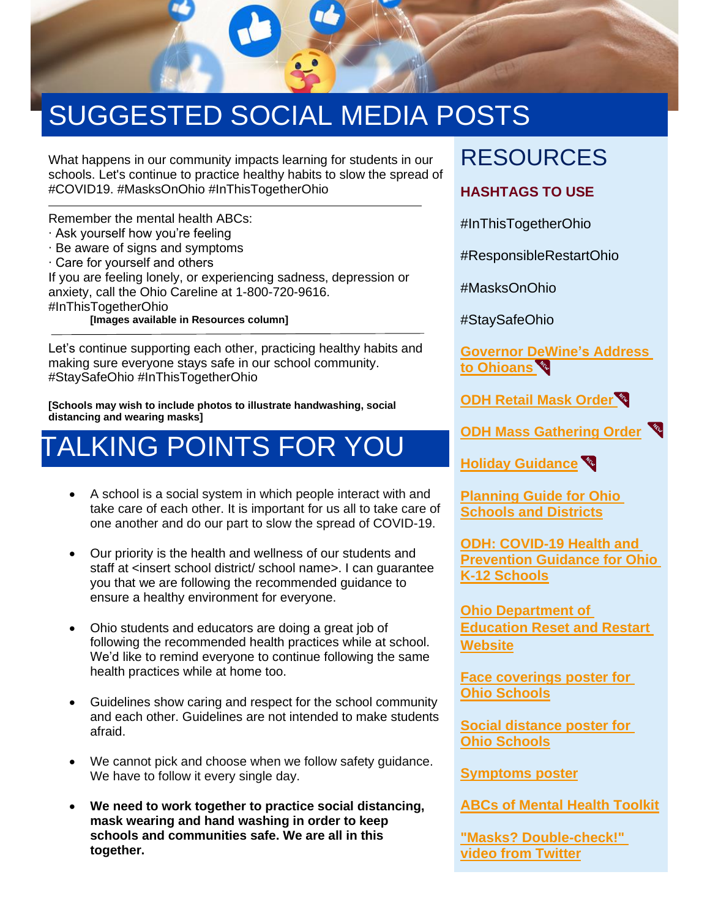

# SUGGESTED SOCIAL MEDIA POSTS

What happens in our community impacts learning for students in our schools. Let's continue to practice healthy habits to slow the spread of #COVID19. #MasksOnOhio #InThisTogetherOhio

Remember the mental health ABCs:

- ∙ Ask yourself how you're feeling
- ∙ Be aware of signs and symptoms
- ∙ Care for yourself and others

If you are feeling lonely, or experiencing sadness, depression or anxiety, call the Ohio Careline at 1-800-720-9616.

#InThisTogetherOhio

**[Images available in Resources column]**

Let's continue supporting each other, practicing healthy habits and making sure everyone stays safe in our school community. #StaySafeOhio #InThisTogetherOhio

**[Schools may wish to include photos to illustrate handwashing, social distancing and wearing masks]**

# TALKING POINTS FOR YOU

- A school is a social system in which people interact with and take care of each other. It is important for us all to take care of one another and do our part to slow the spread of COVID-19.
- Our priority is the health and wellness of our students and staff at <insert school district/ school name>. I can guarantee you that we are following the recommended guidance to ensure a healthy environment for everyone.
- Ohio students and educators are doing a great job of following the recommended health practices while at school. We'd like to remind everyone to continue following the same health practices while at home too.
- Guidelines show caring and respect for the school community and each other. Guidelines are not intended to make students afraid.
- We cannot pick and choose when we follow safety guidance. We have to follow it every single day.
- **We need to work together to practice social distancing, mask wearing and hand washing in order to keep schools and communities safe. We are all in this together.**

## RESOURCES

### **HASHTAGS TO USE**

#InThisTogetherOhio

#ResponsibleRestartOhio

#MasksOnOhio

#StaySafeOhio

**[Governor](https://bit.ly/2GVLmJK) DeWine's Address [to Ohioans](https://bit.ly/2GVLmJK)** 

**[ODH Retail Mask Order](https://coronavirus.ohio.gov/static/publicorders/retail-and-business-compliance-facial-coverings-all-ohio.pdf)** 

**ODH Mass [Gathering Order](https://coronavirus.ohio.gov/static/publicorders/limit-prohibit-mass-gatherings-ohio-rev-order.pdf)**

**[Holiday Guidance](https://coronavirus.ohio.gov/wps/portal/gov/covid-19/families-and-individuals/resources-for-parents-and-families/holiday-celebrations)**

**[Planning Guide for Ohio](http://education.ohio.gov/getattachment/Topics/Reset-and-Restart/Reset-Restart-Guide.pdf.aspx?lang=en-US)  [Schools and Districts](http://education.ohio.gov/getattachment/Topics/Reset-and-Restart/Reset-Restart-Guide.pdf.aspx?lang=en-US)**

**[ODH: COVID-19 Health and](http://coronavirus.ohio.gov/static/responsible/schools/K-12-Schools-Guidance.pdf)  Prevention Guidance for Ohio [K-12 Schools](http://coronavirus.ohio.gov/static/responsible/schools/K-12-Schools-Guidance.pdf)**

**[Ohio Department of](http://education.ohio.gov/Topics/Reset-and-Restart)  [Education Reset and Restart](http://education.ohio.gov/Topics/Reset-and-Restart)  [Website](http://education.ohio.gov/Topics/Reset-and-Restart)**

**[Face coverings poster for](https://coronavirus.ohio.gov/static/responsible/schools/Face-Coverings-Poster.pdf)  [Ohio Schools](https://coronavirus.ohio.gov/static/responsible/schools/Face-Coverings-Poster.pdf)**

**[Social distance poster for](https://coronavirus.ohio.gov/static/responsible/schools/Social-Distance-Poster.pdf)  [Ohio Schools](https://coronavirus.ohio.gov/static/responsible/schools/Social-Distance-Poster.pdf)**

**[Symptoms poster](https://coronavirus.ohio.gov/static/responsible/schools/symptoms-poster.pdf)**

**[ABCs of Mental Health Toolkit](https://mha.ohio.gov/Schools-and-Communities/Educators/ABCs-of-Mental-Health)**

**["Masks? Double-check!"](https://twitter.com/GovMikeDeWine/status/1324774801068548097/video/1)  [video from Twitter](https://twitter.com/GovMikeDeWine/status/1324774801068548097/video/1)**